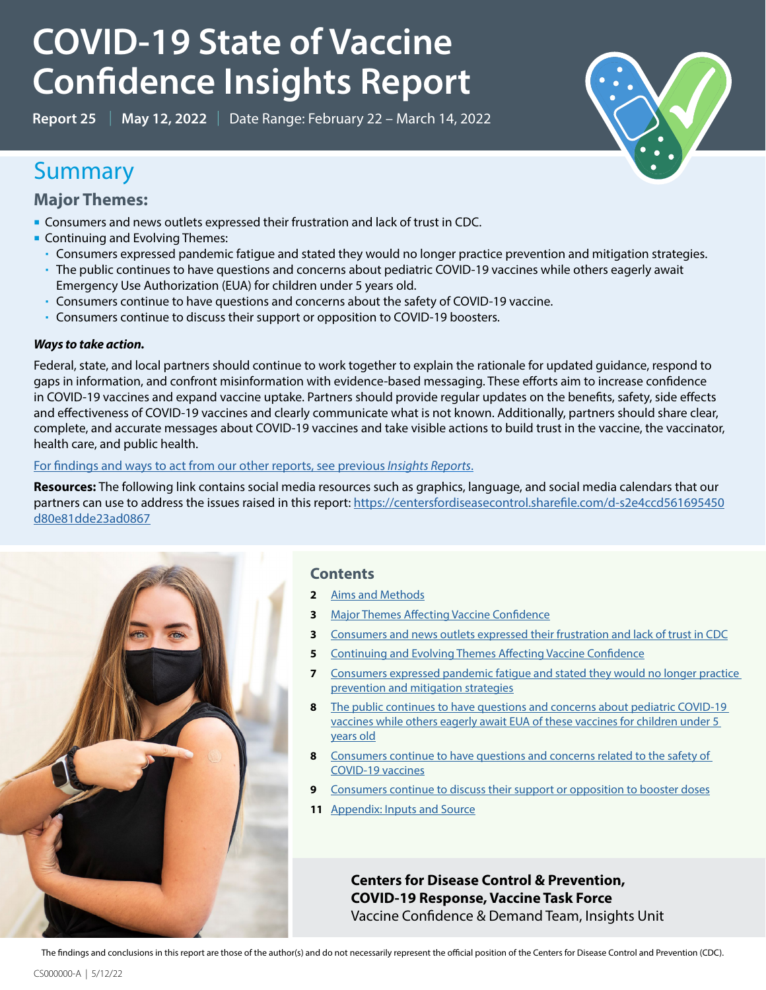# **COVID-19 State of Vaccine Confidence Insights Report**

**Report 25** | **May 12, 2022** | Date Range: February 22 – March 14, 2022

### Summary

**Major Themes:**

- Consumers and news outlets expressed their frustration and lack of trust in CDC.
- **Continuing and Evolving Themes:** 
	- Consumers expressed pandemic fatigue and stated they would no longer practice prevention and mitigation strategies.
	- The public continues to have questions and concerns about pediatric COVID-19 vaccines while others eagerly await Emergency Use Authorization (EUA) for children under 5 years old.
	- Consumers continue to have questions and concerns about the safety of COVID-19 vaccine.
	- Consumers continue to discuss their support or opposition to COVID-19 boosters.

#### *Ways to take action.*

Federal, state, and local partners should continue to work together to explain the rationale for updated guidance, respond to gaps in information, and confront misinformation with evidence-based messaging. These efforts aim to increase confidence in COVID-19 vaccines and expand vaccine uptake. Partners should provide regular updates on the benefits, safety, side effects and effectiveness of COVID-19 vaccines and clearly communicate what is not known. Additionally, partners should share clear, complete, and accurate messages about COVID-19 vaccines and take visible actions to build trust in the vaccine, the vaccinator, health care, and public health.

#### For findings and ways to act from our other reports, see previous*Insights Reports*.

**Resources:** The following link contains social media resources such as graphics, language, and social media calendars that our partners can use to address the issues raised in this report: [https://centersfordiseasecontrol.sharefile.com/d-s2e4ccd561695450](https://centersfordiseasecontrol.sharefile.com/d-s2e4ccd561695450d80e81dde23ad0867) [d80e81dde23ad0867](https://centersfordiseasecontrol.sharefile.com/d-s2e4ccd561695450d80e81dde23ad0867)



#### **Contents**

- **2** [Aims and Methods](#page-1-0)
- **3** [Major Themes Affecting Vaccine Confidence](#page-2-0)
- **3** [Consumers and news outlets expressed their frustration and lack of trust in CDC](#page-2-1)
- **5** [Continuing and Evolving Themes Affecting Vaccine Confidence](#page-5-0)
- **7** [Consumers expressed pandemic fatigue and stated they would no longer practice](#page-5-1)  [prevention and mitigation strategies](#page-5-1)
- **8** The public continues to have questions and concerns about pediatric COVID-19 [vaccines while others eagerly await EUA of these vaccines for children under 5](#page-7-0)  [years old](#page-7-0)
- **8** [Consumers continue to have questions and concerns related to the safety of](#page-9-0)  [COVID-19 vaccines](#page-9-0)
- **9** [Consumers continue to discuss their support or opposition to booster doses](#page-11-0)
- **11** [Appendix: Inputs and Source](#page-12-0)

**Centers for Disease Control & Prevention, COVID-19 Response, Vaccine Task Force** Vaccine Confidence & Demand Team, Insights Unit

The findings and conclusions in this report are those of the author(s) and do not necessarily represent the official position of the Centers for Disease Control and Prevention (CDC).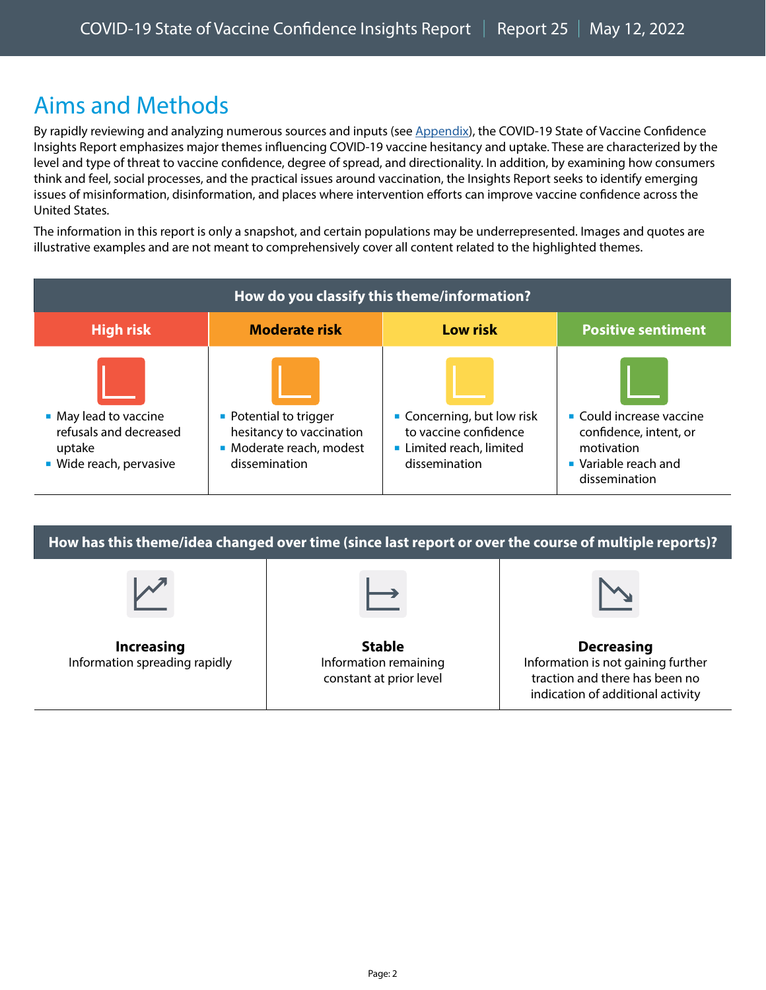## <span id="page-1-0"></span>Aims and Methods

By rapidly reviewing and analyzing numerous sources and inputs (see Appendix), the COVID-19 State of Vaccine Confidence Insights Report emphasizes major themes influencing COVID-19 vaccine hesitancy and uptake. These are characterized by the level and type of threat to vaccine confidence, degree of spread, and directionality. In addition, by examining how consumers think and feel, social processes, and the practical issues around vaccination, the Insights Report seeks to identify emerging issues of misinformation, disinformation, and places where intervention efforts can improve vaccine confidence across the United States.

The information in this report is only a snapshot, and certain populations may be underrepresented. Images and quotes are illustrative examples and are not meant to comprehensively cover all content related to the highlighted themes.

| How do you classify this theme/information?                                          |                                                                                                 |                                                                                                |                                                                                                           |  |  |  |  |
|--------------------------------------------------------------------------------------|-------------------------------------------------------------------------------------------------|------------------------------------------------------------------------------------------------|-----------------------------------------------------------------------------------------------------------|--|--|--|--|
| <b>High risk</b>                                                                     | <b>Moderate risk</b>                                                                            | <b>Low risk</b>                                                                                | <b>Positive sentiment</b>                                                                                 |  |  |  |  |
| • May lead to vaccine<br>refusals and decreased<br>uptake<br>• Wide reach, pervasive | • Potential to trigger<br>hesitancy to vaccination<br>• Moderate reach, modest<br>dissemination | • Concerning, but low risk<br>to vaccine confidence<br>Limited reach, limited<br>dissemination | • Could increase vaccine<br>confidence, intent, or<br>motivation<br>• Variable reach and<br>dissemination |  |  |  |  |

**How has this theme/idea changed over time (since last report or over the course of multiple reports)? Increasing** Information spreading rapidly **Stable** Information remaining constant at prior level **Decreasing** Information is not gaining further traction and there has been no indication of additional activity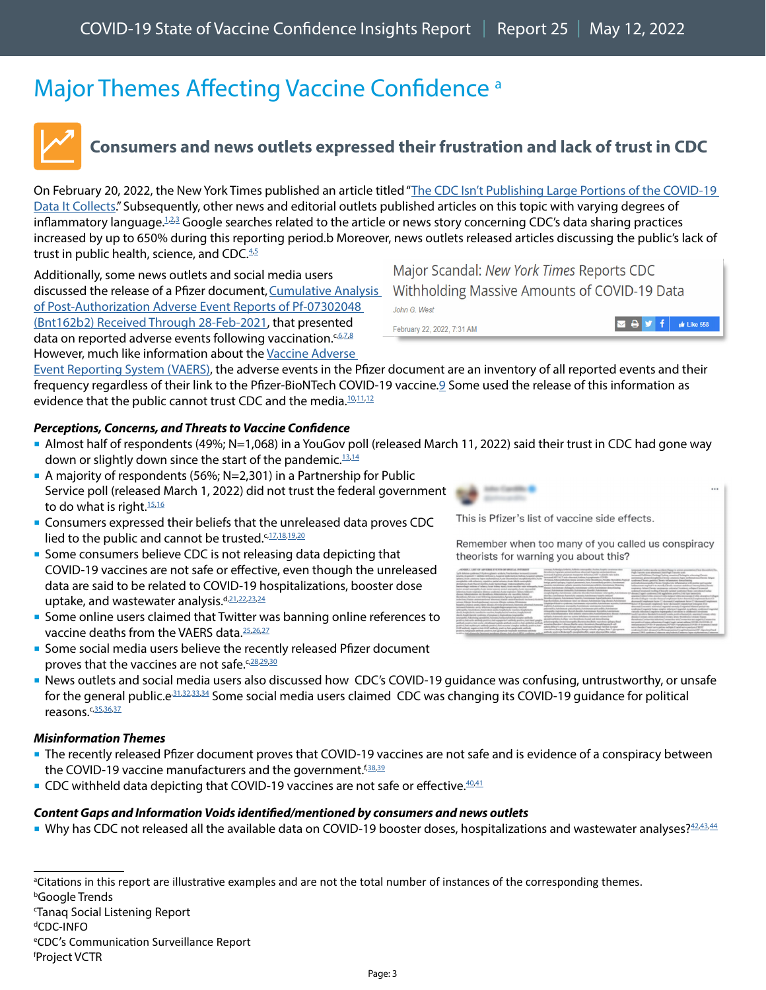# <span id="page-2-0"></span>Major Themes Affecting Vaccine Confidence<sup>a</sup>



### <span id="page-2-1"></span>**Consumers and news outlets expressed their frustration and lack of trust in CDC**

On February 20, 2022, the New York Times published an article titled "[The CDC Isn't Publishing Large Portions of the COVID-19](https://www.nytimes.com/2022/02/20/health/covid-cdc-data.html)  [Data It Collects](https://www.nytimes.com/2022/02/20/health/covid-cdc-data.html)." Subsequently, other news and editorial outlets published articles on this topic with varying degrees of inflammatory language.<sup>[1,](https://www.thedesertreview.com/news/cdc-hides-critical-safety-data/article_79520166-94f9-11ec-be01-5be1ac126d25.html)[2](https://evolutionnews.org/2022/02/major-scandal-new-york-times-reports-cdc-withholding-massive-amounts-of-covid-19-data/)[,3](https://amac.us/the-cdc-hides-covid-data-but-says-americans-are-the-problem/)</sup> Google searches related to the article or news story concerning CDC's data sharing practices increased by up to 650% during this reporting period.b Moreover, news outlets released articles discussing the public's lack of trust in public health, science, and CDC.<sup>[4](https://thehill.com/opinion/healthcare/597393-cdc-needs-serious-scrutiny-to-restore-americans-trust-in-science)[,5](https://www.nytimes.com/2022/03/12/opinion/public-health-trust.html)</sup>

Additionally, some news outlets and social media users discussed the release of a Pfizer document, Cumulative Analysis [of Post-Authorization Adverse Event Reports of Pf-07302048](https://perma.cc/6W69-9WFT)  [\(Bnt162b2\) Received Through 28-Feb-2021,](https://perma.cc/6W69-9WFT) that presented data on reported adverse events following vaccination.<sup>c,[6,](https://twitter.com/cliff_ranger/status/1501988063043534854)[7](https://twitter.com/Eljay2602/status/1502232928302026752)[,8](https://twitter.com/CraigKellyMP/status/1502763405622403072)</sup> However, much like information about the Vaccine Adverse

Major Scandal: New York Times Reports CDC Withholding Massive Amounts of COVID-19 Data John G. West  $\begin{array}{|c|c|c|c|c|}\n\hline\n\textbf{Z} & \textbf{B} & \textbf{y} & \textbf{f} & \text{if } \text{Like } 558 \\
\hline\n\end{array}$ February 22, 2022, 7:31 AM

[Event Reporting System \(VAERS\),](https://vaers.hhs.gov/) the adverse events in the Pfizer document are an inventory of all reported events and their frequency regardless of their link to the Pfizer-BioNTech COVID-19 vaccine.[9](https://factcheck.afp.com/http%253A%252F%252Fdoc.afp.com%252F9UC4LE) Some used the release of this information as evidence that the public cannot trust CDC and the media.<sup>[10](https://twitter.com/Eljay2602/status/1502232928302026752)[,11](https://twitter.com/SandraWeeden/status/1501515012225044482),[12](https://twitter.com/JesseKellyDC/status/1496174354450853890)</sup>

#### *Perceptions, Concerns, and Threats to Vaccine Confidence*

- Almost half of respondents (49%; N=1,068) in a YouGov poll (released March 11, 2022) said their trust in CDC had gone way down or slightly down since the start of the pandemic.<sup>13,[14](https://americansforprosperity.org/covid-civil-liberties-poll/)</sup>
- A majority of respondents (56%;  $N=2,301$ ) in a Partnership for Public Service poll (released March 1, 2022) did not trust the federal government to do what is right.<sup>[15](https://ourpublicservice.org/wp-content/uploads/2022/02/Partnership-and-Freedman-Trust-Polling.pdf)[,16](https://www.politico.com/news/magazine/2022/03/01/democracy-public-crisis-trust-government-faith-00012565)</sup>
- **Consumers expressed their beliefs that the unreleased data proves CDC** lied to the public and cannot be trusted.<sup>c,[17](https://twitter.com/JesseKellyDC/status/1496174354450853890),[18,](https://twitter.com/hamp2879/status/1497841439107010561)[19](https://twitter.com/TheMFingCOO/status/1495971366536978442),[20](https://twitter.com/plenalibertad2/status/1495974215400374272)</sup>
- **Some consumers believe CDC is not releasing data depicting that** COVID-19 vaccines are not safe or effective, even though the unreleased data are said to be related to COVID-19 hospitalizations, booster dose uptake, and wastewater analysis.<sup>d[,21](https://www.facebook.com/cdc/posts/327879376040174?comment_id=327980402696738&__tn__=R),[22](https://www.instagram.com/p/CaiJpfOL9CV/c/17920788146250135/)[,23,](https://www.instagram.com/p/Cak0e_qskkh/c/18027716320346322/)[24](https://rumble.com/vw6sgc-cdc-admits-to-withholding-vaccine-data-over-fears.html)</sup>
- **Some online users claimed that Twitter was banning online references to** vaccine deaths from the VAERS data.<sup>25,[26](https://twitter.com/gutresolution/status/1502761129759543298)[,27](https://twitter.com/RobertKennedyJr/status/1503104107787210760)</sup>
- **Some social media users believe the recently released Pfizer document** proves that the vaccines are not safe.<sup>c[,28,](https://twitter.com/toadmeister/status/1501815141964427264)[29](https://twitter.com/xxjjkkjjkkxx/status/1499791394126188544)[,30](https://twitter.com/johncardillo/status/1499066377172402177)</sup>
- News outlets and social media users also discussed how CDC's COVID-19 guidance was confusing, untrustworthy, or unsafe for the general public.e<sup>31,[32](https://rumble.com/vx50h1-cdc-lies-completely-exposed-deadly-shots-masks-and-quarantine-extremely-dan.html)[,33,](https://twitter.com/joingles/status/1502098933568389121)[34](https://www.npr.org/sections/health-shots/2022/03/10/1085797307/cdcs-new-covid-metrics-can-leave-individuals-struggling-to-understand-their-risk)</sup> Some social media users claimed CDC was changing its COVID-19 guidance for political reasons. $c$ , $35,36,37$  $35,36,37$  $35,36,37$  $35,36,37$

#### *Misinformation Themes*

- The recently released Pfizer document proves that COVID-19 vaccines are not safe and is evidence of a conspiracy between the COVID-19 vaccine manufacturers and the government.<sup>f[,38](https://twitter.com/johncardillo/status/1499066377172402177),[39](https://twitter.com/hamp2879/status/1497841439107010561)</sup>
- CDC withheld data depicting that COVID-19 vaccines are not safe or effective. $40,41$  $40,41$

#### *Content Gaps and Information Voids identified/mentioned by consumers and news outlets*

Why has CDC not released all the available data on COVID-19 booster doses, hospitalizations and wastewater analyses?<sup>42,[43](https://www.instagram.com/p/Cak0e_qskkh/c/18027716320346322/)[,44](https://rumble.com/vw6sgc-cdc-admits-to-withholding-vaccine-data-over-fears.html)</sup>

<sup>a</sup>Citations in this report are illustrative examples and are not the total number of instances of the corresponding themes.

b Google Trends

Tanaq Social Listening Report

d CDC-INFO

e CDC's Communication Surveillance Report



This is Pfizer's list of vaccine side effects.

Remember when too many of you called us conspiracy theorists for warning you about this?



f Project VCTR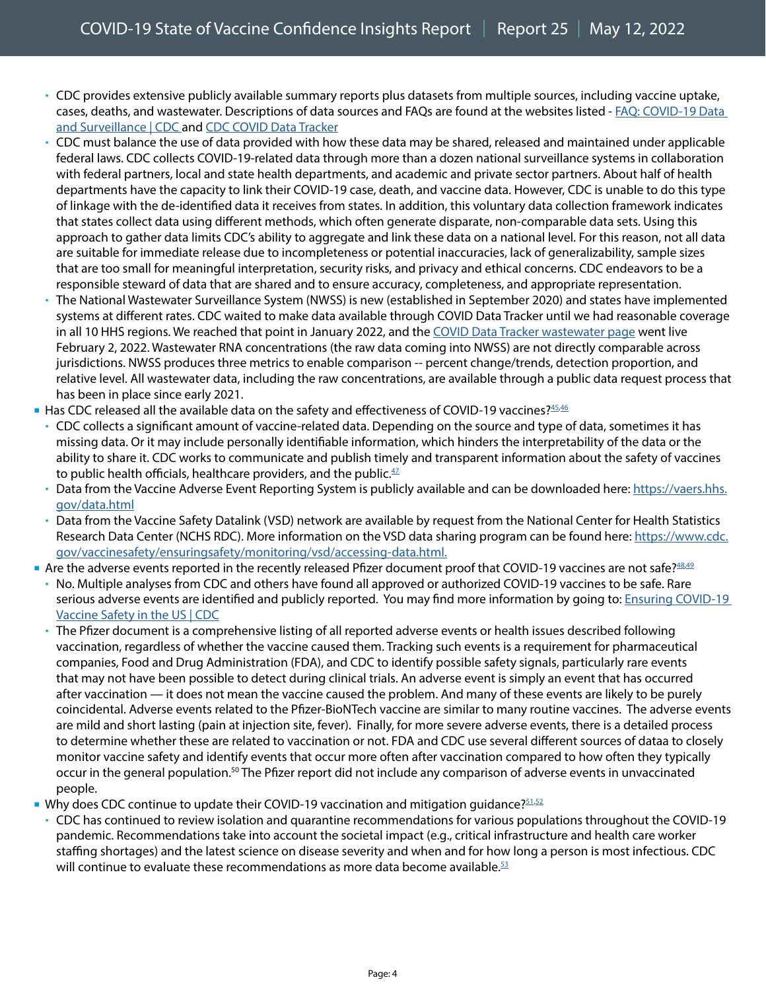- CDC provides extensive publicly available summary reports plus datasets from multiple sources, including vaccine uptake, cases, deaths, and wastewater. Descriptions of data sources and FAQs are found at the websites listed - [FAQ: COVID-19 Data](https://www.cdc.gov/coronavirus/2019-ncov/covid-data/faq-surveillance.html)  [and Surveillance | CDC](https://www.cdc.gov/coronavirus/2019-ncov/covid-data/faq-surveillance.html) and CDC COVID Data Tracker
- CDC must balance the use of data provided with how these data may be shared, released and maintained under applicable federal laws. CDC collects COVID-19-related data through more than a dozen national surveillance systems in collaboration with federal partners, local and state health departments, and academic and private sector partners. About half of health departments have the capacity to link their COVID-19 case, death, and vaccine data. However, CDC is unable to do this type of linkage with the de-identified data it receives from states. In addition, this voluntary data collection framework indicates that states collect data using different methods, which often generate disparate, non-comparable data sets. Using this approach to gather data limits CDC's ability to aggregate and link these data on a national level. For this reason, not all data are suitable for immediate release due to incompleteness or potential inaccuracies, lack of generalizability, sample sizes that are too small for meaningful interpretation, security risks, and privacy and ethical concerns. CDC endeavors to be a responsible steward of data that are shared and to ensure accuracy, completeness, and appropriate representation.
- The National Wastewater Surveillance System (NWSS) is new (established in September 2020) and states have implemented systems at different rates. CDC waited to make data available through COVID Data Tracker until we had reasonable coverage in all 10 HHS regions. We reached that point in January 2022, and the COVID Data Tracker wastewater page went live February 2, 2022. Wastewater RNA concentrations (the raw data coming into NWSS) are not directly comparable across jurisdictions. NWSS produces three metrics to enable comparison -- percent change/trends, detection proportion, and relative level. All wastewater data, including the raw concentrations, are available through a public data request process that has been in place since early 2021.
- $\blacksquare$  Has CDC released all the available data on the safety and effectiveness of COVID-19 vaccines? $45,46$  $45,46$
- CDC collects a significant amount of vaccine-related data. Depending on the source and type of data, sometimes it has missing data. Or it may include personally identifiable information, which hinders the interpretability of the data or the ability to share it. CDC works to communicate and publish timely and transparent information about the safety of vaccines to public health officials, healthcare providers, and the public. $47$
- Data from the Vaccine Adverse Event Reporting System is publicly available and can be downloaded here: [https://vaers.hhs.](https://vaers.hhs.gov/data.html) [gov/data.html](https://vaers.hhs.gov/data.html)
- Data from the Vaccine Safety Datalink (VSD) network are available by request from the National Center for Health Statistics Research Data Center (NCHS RDC). More information on the VSD data sharing program can be found here: [https://www.cdc.](https://www.cdc.gov/vaccinesafety/ensuringsafety/monitoring/vsd/accessing-data.html.) [gov/vaccinesafety/ensuringsafety/monitoring/vsd/accessing-data.html.](https://www.cdc.gov/vaccinesafety/ensuringsafety/monitoring/vsd/accessing-data.html.)
- Are the adverse events reported in the recently released Pfizer document proof that COVID-19 vaccines are not safe? 48,[49](https://twitter.com/xxjjkkjjkkxx/status/1499791394126188544)
	- No. Multiple analyses from CDC and others have found all approved or authorized COVID-19 vaccines to be safe. Rare serious adverse events are identified and publicly reported. You may find more information by going to: [Ensuring COVID-19](https://www.cdc.gov/coronavirus/2019-ncov/vaccines/safety.html)  [Vaccine Safety in the US | CDC](https://www.cdc.gov/coronavirus/2019-ncov/vaccines/safety.html)
	- The Pfizer document is a comprehensive listing of all reported adverse events or health issues described following vaccination, regardless of whether the vaccine caused them. Tracking such events is a requirement for pharmaceutical companies, Food and Drug Administration (FDA), and CDC to identify possible safety signals, particularly rare events that may not have been possible to detect during clinical trials. An adverse event is simply an event that has occurred after vaccination — it does not mean the vaccine caused the problem. And many of these events are likely to be purely coincidental. Adverse events related to the Pfizer-BioNTech vaccine are similar to many routine vaccines. The adverse events are mild and short lasting (pain at injection site, fever). Finally, for more severe adverse events, there is a detailed process to determine whether these are related to vaccination or not. FDA and CDC use several different sources of dataa to closely monitor vaccine safety and identify events that occur more often after vaccination compared to how often they typically occur in the general population.[50](https://www.factcheck.org/2022/03/scicheck-posts-misinterpret-pfizer-covid-19-vaccine-safety-monitoring-document/) The Pfizer report did not include any comparison of adverse events in unvaccinated people.
- Why does CDC continue to update their COVID-19 vaccination and mitigation quidance?  $51.52$  $51.52$ 
	- CDC has continued to review isolation and quarantine recommendations for various populations throughout the COVID-19 pandemic. Recommendations take into account the societal impact (e.g., critical infrastructure and health care worker staffing shortages) and the latest science on disease severity and when and for how long a person is most infectious. CDC will continue to evaluate these recommendations as more data become available. $53$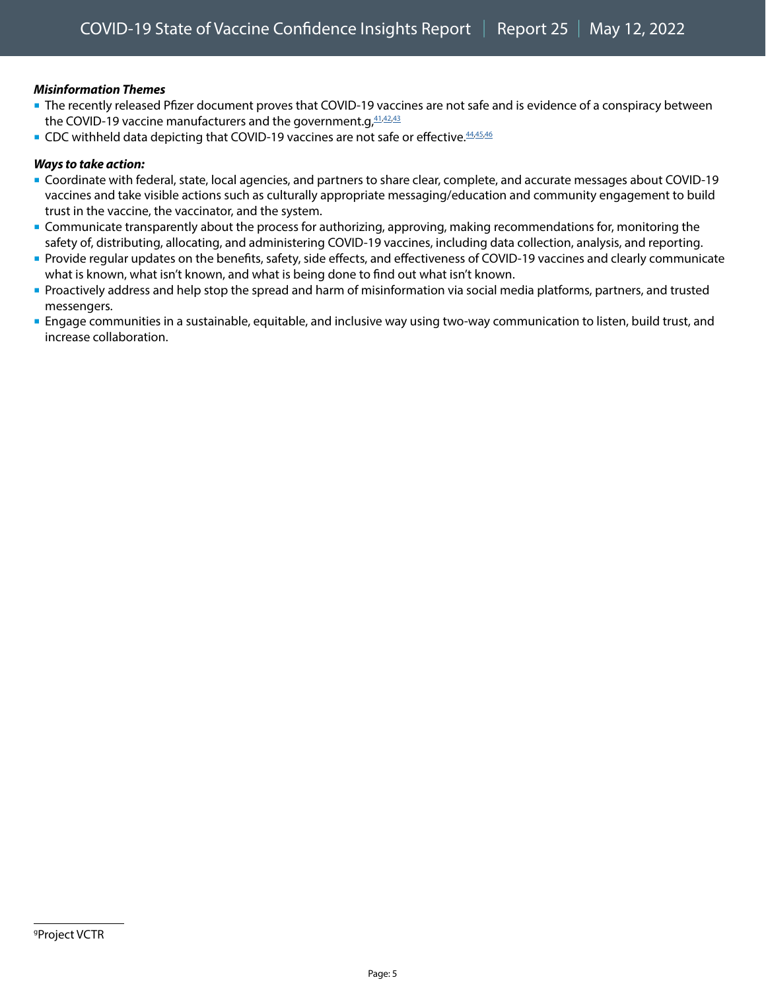#### *Misinformation Themes*

- The recently released Pfizer document proves that COVID-19 vaccines are not safe and is evidence of a conspiracy between the COVID-19 vaccine manufacturers and the government.g,  $41.42.43$  $41.42.43$  $41.42.43$  $41.42.43$
- CDC withheld data depicting that COVID-19 vaccines are not safe or effective. [44,](https://twitter.com/Krommsan/status/1497824267404132353)[45](https://www.facebook.com/cdc/posts/328697075958404?comment_id=328704485957663&__cft__%5b0%5d=AZXqRPRtVse4Df1upF5p1LraOhrmvWEgrOYnGuO7UzqBv4p86KXLPEuIqOUAvZq4ufoV1GN6gDsgpjXk1tK3vRmGWCk2RBxt2ItI7meS0C7RpVMoouRPo9Pk1TtndQf9GafreIG2Fuy5paSmZuW-G1JF&__tn__=R%5d-R),[46](https://www.facebook.com/cdc/posts/328558152638963?comment_id=329491225878989&__tn__=R)

#### *Ways to take action:*

- Coordinate with federal, state, local agencies, and partners to share clear, complete, and accurate messages about COVID-19 vaccines and take visible actions such as culturally appropriate messaging/education and community engagement to build trust in the vaccine, the vaccinator, and the system.
- Communicate transparently about the process for authorizing, approving, making recommendations for, monitoring the safety of, distributing, allocating, and administering COVID-19 vaccines, including data collection, analysis, and reporting.
- Provide regular updates on the benefits, safety, side effects, and effectiveness of COVID-19 vaccines and clearly communicate what is known, what isn't known, and what is being done to find out what isn't known.
- Proactively address and help stop the spread and harm of misinformation via social media platforms, partners, and trusted messengers.
- Engage communities in a sustainable, equitable, and inclusive way using two-way communication to listen, build trust, and increase collaboration.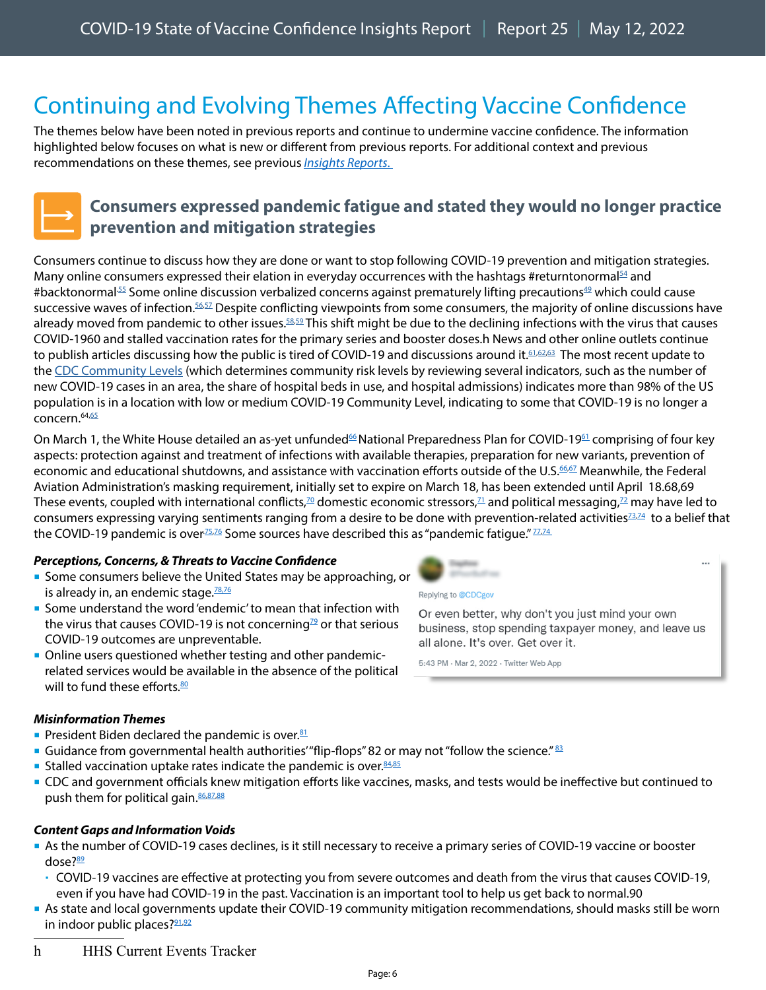# <span id="page-5-0"></span>Continuing and Evolving Themes Affecting Vaccine Confidence

The themes below have been noted in previous reports and continue to undermine vaccine confidence. The information highlighted below focuses on what is new or different from previous reports. For additional context and previous recommendations on these themes, see previous*Insights Reports*.



### <span id="page-5-1"></span>**Consumers expressed pandemic fatigue and stated they would no longer practice prevention and mitigation strategies**

Consumers continue to discuss how they are done or want to stop following COVID-19 prevention and mitigation strategies. Many online consumers expressed their elation in everyday occurrences with the hashtags #returntonormal<sup>54</sup> and #backtonormal<sup>55</sup> Some online discussion verbalized concerns against prematurely lifting precautions<sup>[49](https://twitter.com/rachael_levy/status/1503000790386065410)</sup> which could cause successive waves of infection.<sup>56,57</sup> Despite conflicting viewpoints from some consumers, the majority of online discussions have already moved from pandemic to other issues.<sup>[58](https://www.facebook.com/cdc/posts/327879376040174?comment_id=328125986015513&__tn__=R),59</sup> This shift might be due to the declining infections with the virus that causes COVID-19[60](https://www.cnbc.com/2022/03/14/fauci-warns-not-to-forget-pandemics-catastrophic-experience.html) and stalled vaccination rates for the primary series and booster doses.h News and other online outlets continue to publish articles discussing how the public is tired of COVID-19 and discussions around it.<sup>[61,](https://www.nytimes.com/2022/03/09/opinion/covid-exhaustion-the-argument.html)[62](https://marshallparthenon.com/29050/news/two-years-into-the-pandemic-covid-fatigue-takes-its-toll/),63</sup> The most recent update to the [CDC Community Levels](https://www.cdc.gov/coronavirus/2019-ncov/science/community-levels.html) (which determines community risk levels by reviewing several indicators, such as the number of new COVID-19 cases in an area, the share of hospital beds in use, and hospital admissions) indicates more than 98% of the US population is in a location with low or medium COVID-19 Community Level, indicating to some that COVID-19 is no longer a concern.[64](https://www.cdc.gov/media/releases/2022/s0311-COVID-19-Community-Levels.html)[,65](https://www.facebook.com/cdc/posts/327879376040174?comment_id=328250366003075&__tn__=R)

On March 1, the White House detailed an as-yet unfunded<sup>[66](https://khn.org/news/article/podcast-khn-what-the-health-237-congress-covid-funding-march-10-2022/)</sup> National Preparedness Plan for COVID-19<sup>61</sup> comprising of four key aspects: protection against and treatment of infections with available therapies, preparation for new variants, prevention of economic and educational shutdowns, and assistance with vaccination efforts outside of the U.S[.66,](https://www.whitehouse.gov/covidplan/)[67](https://www.fiercehealthcare.com/providers/white-house-covid-19-preparedness-plan-details-4-step-plan-keep-america-open-and-prepare) Meanwhile, the Federal Aviation Administration's masking requirement, initially set to expire on March 18, has been extended until April 18[.68](https://www.npr.org/2022/03/10/1085739883/mask-mandate-planes-trains-ferries-tsa-cdc)[,69](https://www.nytimes.com/live/2022/03/10/world/covid-19-mandates-cases-vaccine/the-tsa-extends-its-mask-mandate-on-airplanes-and-public-transit-as-the-cdc-reviews-the-policys-future) These events, coupled with international conflicts,<sup>70</sup> domestic economic stressors,<sup>71</sup> and political messaging,<sup>72</sup> may have led to consumers expressing varying sentiments ranging from a desire to be done with prevention-related activities $73,74$  $73,74$  to a belief that the COVID-19 pandemic is over<sup> $75,76$  $75,76$ </sup> Some sources have described this as "pandemic fatigue."  $77,74$  $77,74$ 

#### *Perceptions, Concerns, & Threats to Vaccine Confidence*

- Some consumers believe the United States may be approaching, or is already in, an endemic stage.<sup>78,[76](https://www.facebook.com/cdc/posts/327879376040174?comment_id=328777535950358&__tn__=R)</sup>
- **Some understand the word 'endemic' to mean that infection with** the virus that causes COVID-19 is not concerning $\frac{79}{2}$  $\frac{79}{2}$  $\frac{79}{2}$  or that serious COVID-19 outcomes are unpreventable.
- Online users questioned whether testing and other pandemicrelated services would be available in the absence of the political will to fund these efforts  $\frac{80}{2}$

#### *Misinformation Themes*

- **President Biden declared the pandemic is over.**<sup>[81](https://www.facebook.com/cdc/posts/327879376040174?comment_id=328125986015513&__tn__=R)</sup>
- Guidance from governmental health authorities' "flip-flops" [82](https://www.facebook.com/cdc/posts/327879376040174?comment_id=327953626032749&__tn__=R) or may not "follow the science." [83](https://twitter.com/Angelasfreenews/status/1499774314131906561)
- Stalled vaccination uptake rates indicate the pandemic is over.  $84,85$  $84,85$
- CDC and government officials knew mitigation efforts like vaccines, masks, and tests would be ineffective but continued to push them for political gain. 86,[87](https://www.instagram.com/p/CandhskM2MN/c/17960473396608350/)[,88](https://www.facebook.com/cdc/posts/328558152638963?comment_id=328842375943874&__tn__=R)

#### *Content Gaps and Information Voids*

- As the number of COVID-19 cases declines, is it still necessary to receive a primary series of COVID-19 vaccine or booster dose[?89](https://www.instagram.com/p/CaIX9vulkEO/c/18280690462055345/)
	- COVID-19 vaccines are effective at protecting you from severe outcomes and death from the virus that causes COVID-19, even if you have had COVID-19 in the past. Vaccination is an important tool to help us get back to normal[.90](https://www.cdc.gov/coronavirus/2019-ncov/vaccines/prepare-for-vaccination.html)
- As state and local governments update their COVID-19 community mitigation recommendations, should masks still be worn in indoor public places?<sup>91,[92](https://www.nytimes.com/live/2022/03/10/world/covid-19-mandates-cases-vaccine/the-tsa-extends-its-mask-mandate-on-airplanes-and-public-transit-as-the-cdc-reviews-the-policys-future)</sup>
- h HHS Current Events Tracker





#### Replying to @CDCgov

Or even better, why don't you just mind your own business, stop spending taxpayer money, and leave us all alone. It's over. Get over it.

...

5:43 PM · Mar 2, 2022 · Twitter Web App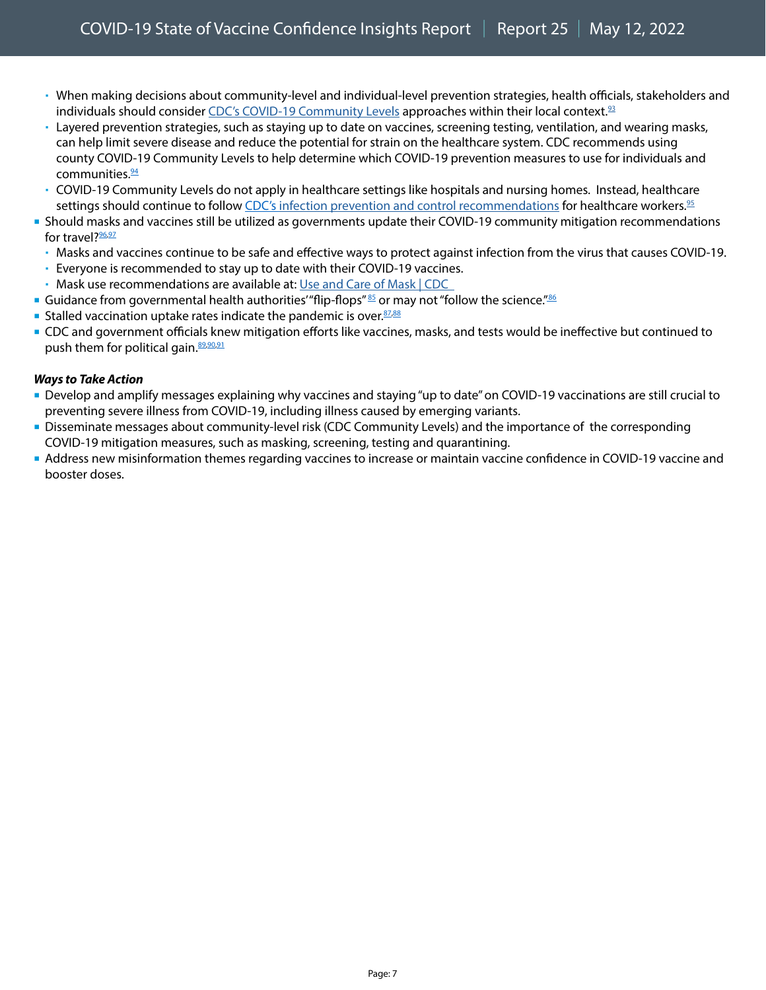- When making decisions about community-level and individual-level prevention strategies, health officials, stakeholders and individuals should consider [CDC's COVID-19 Community Levels](https://www.cdc.gov/coronavirus/2019-ncov/science/community-levels.html?CDC_AA_refVal=https%3A%2F%2Fwww.cdc.gov%2Fcoronavirus%2F2019-ncov%2Fmore%2Faboutcovidcountycheck%2Findex.html) approaches within their local context. $93$
- Layered prevention strategies, such as staying up to date on vaccines, screening testing, ventilation, and wearing masks, can help limit severe disease and reduce the potential for strain on the healthcare system. CDC recommends using county COVID-19 Community Levels to help determine which COVID-19 prevention measures to use for individuals and communities.<sup>94</sup>
- COVID-19 Community Levels do not apply in healthcare settings like hospitals and nursing homes. Instead, healthcare settings should continue to follow CDC's [infection prevention and control recommendations](https://www.cdc.gov/coronavirus/2019-ncov/hcp/infection-control-recommendations.html) for healthcare workers.<sup>95</sup>
- Should masks and vaccines still be utilized as governments update their COVID-19 community mitigation recommendations for travel[?96](https://www.npr.org/2022/03/10/1085739883/mask-mandate-planes-trains-ferries-tsa-cdc),[97](https://www.nytimes.com/live/2022/03/10/world/covid-19-mandates-cases-vaccine/the-tsa-extends-its-mask-mandate-on-airplanes-and-public-transit-as-the-cdc-reviews-the-policys-future)
	- Masks and vaccines continue to be safe and effective ways to protect against infection from the virus that causes COVID-19.
- Everyone is recommended to stay up to date with their COVID-19 vaccines.
- Mask use recommendations are available at: [Use and Care of Mask | CDC](https://www.cdc.gov/coronavirus/2019-ncov/prevent-getting-sick/about-face-coverings.html)
- Guidance from governmental health authorities' "flip-flops"  $85$  or may not "follow the science." $86$
- Stalled vaccination uptake rates indicate the pandemic is over. [87](https://twitter.com/Oped46/status/1499219052467679233)[,88](https://www.instagram.com/p/CaSiDqavker/c/18154872058209207/)
- CDC and government officials knew mitigation efforts like vaccines, masks, and tests would be ineffective but continued to push them for political gain.<sup>89,[90](https://www.instagram.com/p/CandhskM2MN/c/17960473396608350/)[,91](https://www.facebook.com/cdc/posts/328558152638963?comment_id=328842375943874&__tn__=R)</sup>

#### *Ways to Take Action*

- Develop and amplify messages explaining why vaccines and staying "up to date" on COVID-19 vaccinations are still crucial to preventing severe illness from COVID-19, including illness caused by emerging variants.
- Disseminate messages about community-level risk (CDC Community Levels) and the importance of the corresponding COVID-19 mitigation measures, such as masking, screening, testing and quarantining.
- Address new misinformation themes regarding vaccines to increase or maintain vaccine confidence in COVID-19 vaccine and booster doses.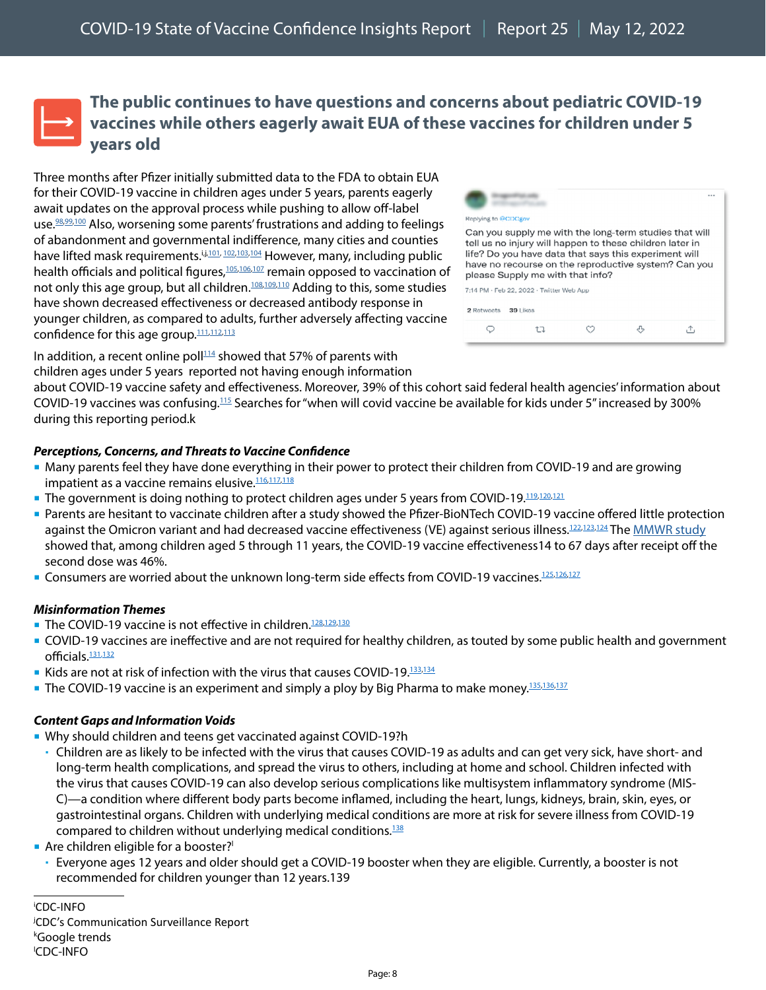### <span id="page-7-0"></span>**The public continues to have questions and concerns about pediatric COVID-19 vaccines while others eagerly await EUA of these vaccines for children under 5 years old**

Three months after Pfizer initially submitted data to the FDA to obtain EUA for their COVID-19 vaccine in children ages under 5 years, parents eagerly await updates on the approval process while pushing to allow off-label use.<sup>98,[99](https://www.facebook.com/cdc/posts/323899369771508?comment_id=997450437841651&__cft__%5b0%5d=AZVDZg880YGghhw2ho8hedBbFGH96SarCNZWrKqqZqHtXKiLMiY63Xmj9uxrQLAtXLZRGz4ZI7AOjjAMTXVAP3e_gIrymzc_d60r5vs30Mk-k480IeXTQqWDtEYZDsrtacsgK72H6vRUxzrhHgtKRQBq&__tn__=R%5d-R),100</sup> Also, worsening some parents' frustrations and adding to feelings of abandonment and governmental indifference, many cities and counties have lifted mask requirements.<sup>i,j,[101,](https://twitter.com/ImmunizeUnder5s/status/1503058466390294531) [102](https://www.facebook.com/cdc/posts/325178869643558?comment_id=326831276144984&__tn__=R)[,103,](https://www.nytimes.com/2022/03/01/opinion/letters/cdc-covid-rules.html)[104](https://www.facebook.com/cdc/posts/323899369771508?comment_id=682739286250036&__cft__%5b0%5d=AZVDZg880YGghhw2ho8hedBbFGH96SarCNZWrKqqZqHtXKiLMiY63Xmj9uxrQLAtXLZRGz4ZI7AOjjAMTXVAP3e_gIrymzc_d60r5vs30Mk-k480IeXTQqWDtEYZDsrtacsgK72H6vRUxzrhHgtKRQBq&__tn__=R%5d-R)</sup> However, many, including public health officials and political figures, $105,106,107$  $105,106,107$  $105,106,107$  remain opposed to vaccination of not only this age group, but all children.<sup>[108](https://www.instagram.com/p/CaVLPxtlVLi/c/17910811940297987/)[,109,](https://www.instagram.com/p/CaVLPxtlVLi/c/17895568106536279/)[110](https://www.instagram.com/p/CaVLPxtlVLi/c/17936502526947581/)</sup> Adding to this, some studies have shown decreased effectiveness or decreased antibody response in younger children, as compared to adults, further adversely affecting vaccine confidence for this age group.<sup>111,[112](https://www.nature.com/articles/d41586-022-00681-8),[113](https://www.nytimes.com/live/2022/03/01/world/covid-19-tests-cases-vaccine)</sup>

| Replying to @CDCgov                                                                                                                                                                                                                                                                                                 |          |  |  |  |  |  |
|---------------------------------------------------------------------------------------------------------------------------------------------------------------------------------------------------------------------------------------------------------------------------------------------------------------------|----------|--|--|--|--|--|
| Can you supply me with the long-term studies that will<br>tell us no injury will happen to these children later in<br>life? Do you have data that says this experiment will<br>have no recourse on the reproductive system? Can you<br>please Supply me with that info?<br>7:14 PM - Feb 22, 2022 - Twitter Web App |          |  |  |  |  |  |
|                                                                                                                                                                                                                                                                                                                     |          |  |  |  |  |  |
| 2 Retweets                                                                                                                                                                                                                                                                                                          | 39 Likes |  |  |  |  |  |

In addition, a recent online poll $114$  showed that 57% of parents with children ages under 5 years reported not having enough information

about COVID-19 vaccine safety and effectiveness. Moreover, 39% of this cohort said federal health agencies' information about COVID-19 vaccines was confusing.[115](https://www.kff.org/coronavirus-covid-19/poll-finding/kff-covid-19-vaccine-monitor-february-2022/) Searches for "when will covid vaccine be available for kids under 5" increased by 300% during this reporting period.k

#### *Perceptions, Concerns, and Threats to Vaccine Confidence*

- Many parents feel they have done everything in their power to protect their children from COVID-19 and are growing impatient as a vaccine remains elusive.<sup>116,[117](https://twitter.com/AshleyRParker/status/1502336325881667593https:/twitter.com/AshleyRParker/status/1502336325881667593https:/twitter.com/AshleyRParker/status/1502336325881667593https:/twitter.com/AshleyRParker/status/1502336325881667593),[118](https://twitter.com/cattywampusbees/status/1503019117900488706)</sup>
- **The government is doing nothing to protect children ages under 5 years from COVID-19.**<sup>119[,120,](https://www.facebook.com/cdc/posts/323899369771508?comment_id=369129144734069&__cft__%5b0%5d=AZVDZg880YGghhw2ho8hedBbFGH96SarCNZWrKqqZqHtXKiLMiY63Xmj9uxrQLAtXLZRGz4ZI7AOjjAMTXVAP3e_gIrymzc_d60r5vs30Mk-k480IeXTQqWDtEYZDsrtacsgK72H6vRUxzrhHgtKRQBq&__tn__=R%5d-R)[121](https://www.facebook.com/cdc/posts/323899369771508?comment_id=666191077867357&__cft__%5b0%5d=AZXlaBoas5FGo8jXLdJefA9ONxU6aqZffVBHzrFQZCvGjghtjrgH-mK9h79bl9SA1795U-ne3nJkE9KlFtx5ygA44IGmet6WaqMvAskwLsFpE6e7osRgogz9qoksUrHE-tWhSmJ34Lno366YSUuoSe2c&__tn__=R%5d-R)</sup>
- Parents are hesitant to vaccinate children after a study showed the Pfizer-BioNTech COVID-19 vaccine offered little protection against the Omicron variant and had decreased vaccine effectiveness (VE) against serious illness.<sup>122,[123](https://twitter.com/Lizzylasher7/status/1498745044546826244),[124](https://twitter.com/AWokeZombie/status/1498744322661011456)</sup> The [MMWR study](https://www.cdc.gov/mmwr/volumes/71/wr/mm7109e3.htm?s_cid=mm7109e3_w) showed that, among children aged 5 through 11 years, the COVID-19 vaccine effectiveness14 to 67 days after receipt off the second dose was 46%.
- Consumers are worried about the unknown long-term side effects from COVID-19 vaccines.<sup>125,[126](https://www.facebook.com/cdc/posts/328697075958404?comment_id=329223249239120&__cft__%5b0%5d=AZXqRPRtVse4Df1upF5p1LraOhrmvWEgrOYnGuO7UzqBv4p86KXLPEuIqOUAvZq4ufoV1GN6gDsgpjXk1tK3vRmGWCk2RBxt2ItI7meS0C7RpVMoouRPo9Pk1TtndQf9GafreIG2Fuy5paSmZuW-G1JF&__tn__=R%5d-R),[127](https://www.facebook.com/cdc/posts/324589083035870?comment_id=324642703030508&__cft__%5b0%5d=AZWpyLZpuDfAClWjYyVasorjHDbJhhz8ECo2qHhn_3Ylwmy6EL73K-7jhpgL2RozakhUKHjn4OHCKli_VYP8wi5VMdcbL1j6WQ8MPqvjOqezqdGI1WJuGhG1dBje_fqtOdm81Sy59EfQkV2F8rWTbDVa&__tn__=R%5d-R)</sup>

#### *Misinformation Themes*

- The COVID-19 vaccine is not effective in children.<sup>[128](https://www.medrxiv.org/content/10.1101/2022.02.25.22271454v1)[,129](https://www.nature.com/articles/d41586-022-00681-8)[,130](https://twitter.com/PunchBlake/status/1499226434518278144)</sup>
- COVID-19 vaccines are ineffective and are not required for healthy children, as touted by some public health and government officials.<sup>131,[132](https://twitter.com/AWokeZombie/status/1499104116047593474)</sup>
- Kids are not at risk of infection with the virus that causes COVID-19.<sup>[133](https://www.facebook.com/cdc/posts/328751329286312?comment_id=329385052556273&__cft__%5b0%5d=AZULoGsPMoakhEshZl_UD_F-P0V5-flO86_tXI2_P_X9dxA_P7_aE-L8cyWTlc1lVjf3v_7v2L9nO492CCDt0V3B0tbeLf8CpDD4HXtfxxZ94aI8q6kFUL1dGgtQ9X9JeWkyq5xl2AvXsjIRoBSXqKnO&__tn__=R%5d-Rhttps://www.facebook.com/cdc/posts/328751329286312?comment_id=329385052556273&__cft__%5b0%5d=AZULoGsPMoakhEshZl_UD_F-P0V5-flO86_tXI2_P_X9dxA_P7_aE-L8cyWTlc1lVjf3v_7v2L9nO492CCDt0V3B0tbeLf8CpDD4HXtfxxZ94aI8q6kFUL1dGgtQ9X9JeWkyq5xl2AvXsjIRoBSXqKnO&__tn__=R%5d-R)[,134](https://www.instagram.com/p/CanPxl4MI_S/c/17865288230646993/)</sup>
- The COVID-19 vaccine is an experiment and simply a ploy by Big Pharma to make money.<sup>135,[136](https://www.instagram.com/p/CaVLPxtlVLi/c/17928451643109195/)[,137](https://www.instagram.com/p/CaX4Q9ZhX1r/c/17987983390452561/)</sup>

#### *Content Gaps and Information Voids*

- Why should children and teens get vaccinated against COVID-19?h
	- Children are as likely to be infected with the virus that causes COVID-19 as adults and can get very sick, have short- and long-term health complications, and spread the virus to others, including at home and school. Children infected with the virus that causes COVID-19 can also develop serious complications like multisystem inflammatory syndrome (MIS-C)—a condition where different body parts become inflamed, including the heart, lungs, kidneys, brain, skin, eyes, or gastrointestinal organs. Children with underlying medical conditions are more at risk for severe illness from COVID-19 compared to children without underlying medical conditions.<sup>138</sup>

#### Are children eligible for a booster?<sup>1</sup>

 Everyone ages 12 years and older should get a COVID-19 booster when they are eligible. Currently, a booster is not recommended for children younger than 12 years.[139](https://www.cdc.gov/coronavirus/2019-ncov/vaccines/faq-children.html)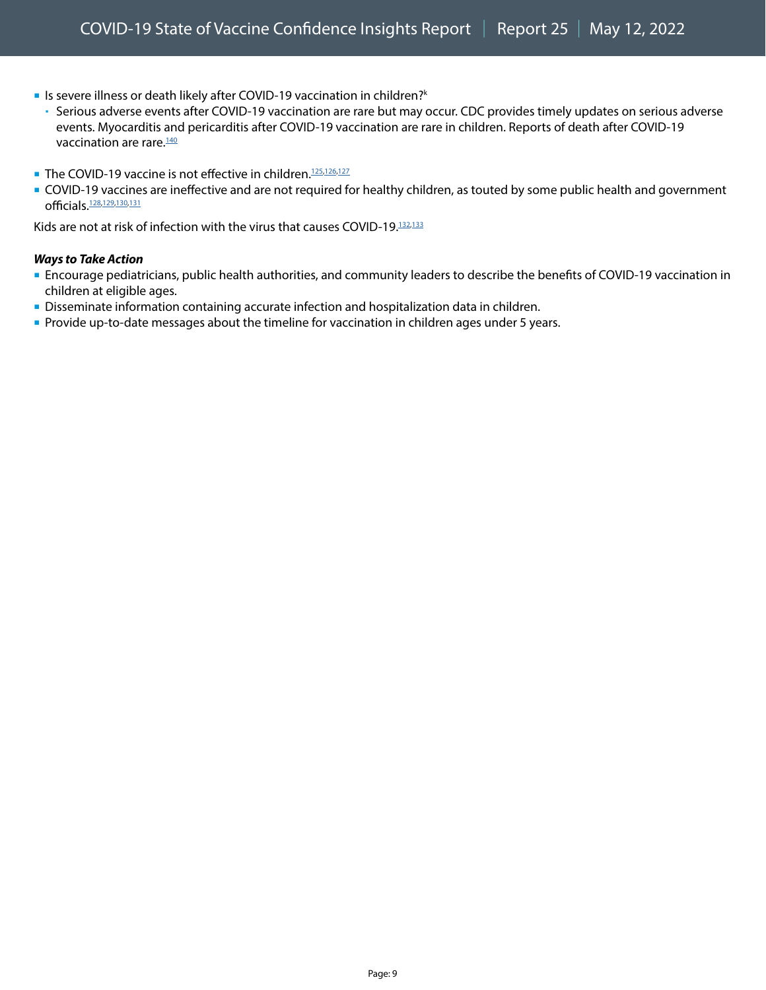- **I**s severe illness or death likely after COVID-19 vaccination in children?k
	- Serious adverse events after COVID-19 vaccination are rare but may occur. CDC provides timely updates on serious adverse events. Myocarditis and pericarditis after COVID-19 vaccination are rare in children. Reports of death after COVID-19 vaccination are rare.<sup>140</sup>
- The COVID-19 vaccine is not effective in children.<sup>[125,](https://www.medrxiv.org/content/10.1101/2022.02.25.22271454v1)[126](https://www.nature.com/articles/d41586-022-00681-8)[,127](https://twitter.com/PunchBlake/status/1499226434518278144)</sup>
- COVID-19 vaccines are ineffective and are not required for healthy children, as touted by some public health and government officials[.128,](https://www.facebook.com/cdc/posts/328650775963034?comment_id=328919115936200&__cft__%5b0%5d=AZXOMmJcoZpkMXNtKHJb8s_la4AG3JU8w_gtcrNQ1Gx5QvEZifz0_Febs_goxXV8wlnkBTZN1cs24noGgMYllceDHgFJPIGCPyZor0d9Pr7Oa7xAUVeH0N13ZjnoQ7Tb9SeXdo0nsnAEO7uZPZ0qc2Ca&__tn__=R%5d-R)[129](https://twitter.com/AWokeZombie/status/1499104116047593474),[130,](https://twitter.com/JayReason21/status/1496222712817397760)[131](https://apnews.com/article/covid-health-florida-public-health-f1500964bf5e062db25a9762534e1c2d)

Kids are not at risk of infection with the virus that causes COVID-19.<sup>[132](https://www.facebook.com/cdc/posts/328650775963034?comment_id=328808169280628&__cft__%5b0%5d=AZXOMmJcoZpkMXNtKHJb8s_la4AG3JU8w_gtcrNQ1Gx5QvEZifz0_Febs_goxXV8wlnkBTZN1cs24noGgMYllceDHgFJPIGCPyZor0d9Pr7Oa7xAUVeH0N13ZjnoQ7Tb9SeXdo0nsnAEO7uZPZ0qc2Ca&__tn__=R%5d-R)[,133](https://www.facebook.com/cdc/posts/328751329286312?comment_id=329385052556273&__cft__%5b0%5d=AZULoGsPMoakhEshZl_UD_F-P0V5-flO86_tXI2_P_X9dxA_P7_aE-L8cyWTlc1lVjf3v_7v2L9nO492CCDt0V3B0tbeLf8CpDD4HXtfxxZ94aI8q6kFUL1dGgtQ9X9JeWkyq5xl2AvXsjIRoBSXqKnO&__tn__=R%5d-Rhttps://www.facebook.com/cdc/posts/328751329286312?comment_id=329385052556273&__cft__%5b0%5d=AZULoGsPMoakhEshZl_UD_F-P0V5-flO86_tXI2_P_X9dxA_P7_aE-L8cyWTlc1lVjf3v_7v2L9nO492CCDt0V3B0tbeLf8CpDD4HXtfxxZ94aI8q6kFUL1dGgtQ9X9JeWkyq5xl2AvXsjIRoBSXqKnO&__tn__=R%5d-R)</sup>

#### *Ways to Take Action*

- Encourage pediatricians, public health authorities, and community leaders to describe the benefits of COVID-19 vaccination in children at eligible ages.
- Disseminate information containing accurate infection and hospitalization data in children.
- **Provide up-to-date messages about the timeline for vaccination in children ages under 5 years.**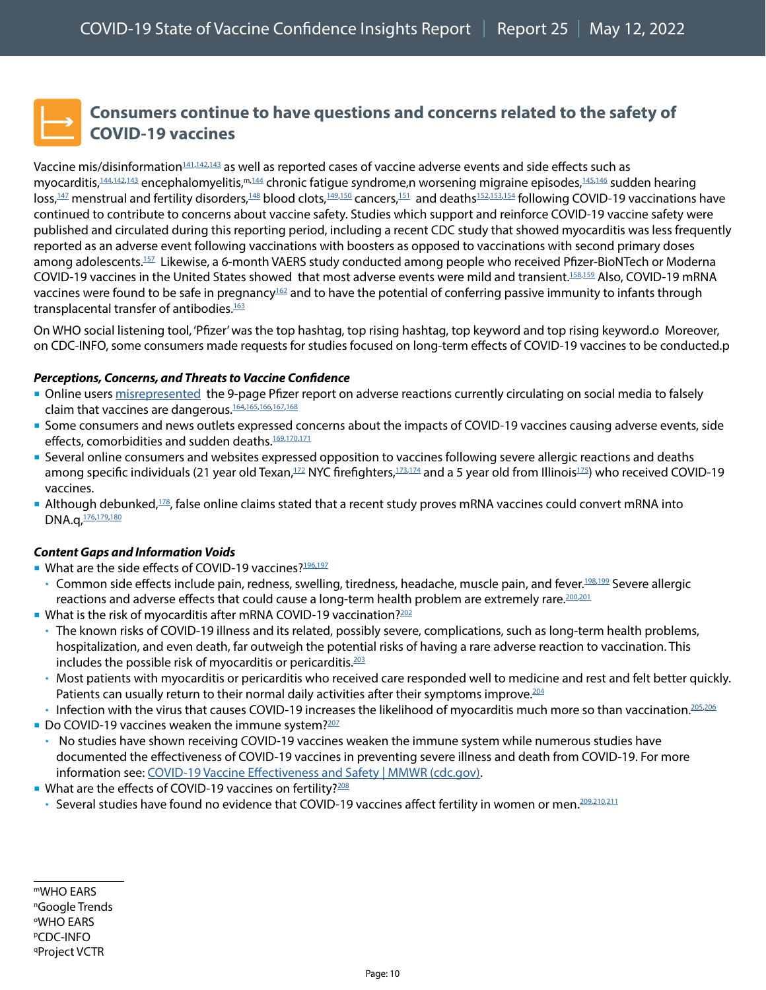### <span id="page-9-0"></span>**Consumers continue to have questions and concerns related to the safety of COVID-19 vaccines**

Vaccine mis/disinformation[141](https://twitter.com/Eljay2602/status/1502232928302026752),[142](https://twitter.com/Legitscrutiny1/status/1501626151906725893)[,143](https://rumble.com/vwglmp-top-secret-pfizer-documents-leaked-pfizer-knew-that-vaxx-would-kill-thousan.html) as well as reported cases of vaccine adverse events and side effects such as myocarditis,<sup>[144](https://twitter.com/freethought202/status/1502211661918212096/photo/1),[142](https://twitter.com/DrJinRussell/status/1502441754213367812),143</sup> encephalomyelitis,<sup>m,144</sup> chronic fatigue syndrome,n worsening migraine episodes,<sup>[145](https://www.ncbi.nlm.nih.gov/pmc/articles/PMC8708794/),146</sup> sudden hearing loss,<sup>[147](https://jamanetwork.com/journals/jamaotolaryngology/fullarticle/2789496?guestAccessKey=9934d86a-9371-4c88-8f14-e96c36906e60&utm_source=For_The_Media&utm_medium=referral&utm_campaign=ftm_links&utm_content=tfl&utm_term=022422)</sup> menstrual and fertility disorders,<sup>[148](https://twitter.com/JeanRees10/status/1497170081939398658/)</sup> blood clots,<sup>149,[150](https://www.facebook.com/cdc/posts/328751329286312?comment_id=329572262537552&__cft__%5b0%5d=AZULoGsPMoakhEshZl_UD_F-P0V5-flO86_tXI2_P_X9dxA_P7_aE-L8cyWTlc1lVjf3v_7v2L9nO492CCDt0V3B0tbeLf8CpDD4HXtfxxZ94aI8q6kFUL1dGgtQ9X9JeWkyq5xl2AvXsjIRoBSXqKnO&__tn__=R%5d-R)</sup> cancers,<sup>[151](https://t.me/covid19vaccinevictims/4074)</sup> and deaths<sup>152,[153](https://twitter.com/JennSal8/status/1502655719916511236),154</sup> following COVID-19 vaccinations have continued to contribute to concerns about vaccine safety. Studies which support and reinforce COVID-19 vaccine safety were published and circulated during this reporting period, including a recent CDC study that showed myocarditis was less frequently reported as an adverse event following vaccinations with boosters as opposed to vaccinations with second primary doses among adolescents.<sup>157</sup> Likewise, a 6-month VAERS study conducted among people who received Pfizer-BioNTech or Moderna COVID-19 vaccines in the United States showed that most adverse events were mild and transient[.158,](https://www.thelancet.com/journals/laninf/article/PIIS1473-3099(22)00123-2/fulltext)[159](https://www.medpagetoday.com/infectiousdisease/covid19vaccine/97545) Also, COVID-19 mRNA vaccines were found to be safe in pregnancy $162$  and to have the potential of conferring passive immunity to infants through transplacental transfer of antibodies.<sup>[163](https://journals.lww.com/greenjournal/Fulltext/2022/02000/Neutralizing_Antibodies_and_Cytokines_in_Breast.6.aspx)</sup>

On WHO social listening tool, 'Pfizer' was the top hashtag, top rising hashtag, top keyword and top rising keyword.o Moreover, on CDC-INFO, some consumers made requests for studies focused on long-term effects of COVID-19 vaccines to be conducted.p

#### *Perceptions, Concerns, and Threats to Vaccine Confidence*

- Online users [misrepresented](https://www.reuters.com/article/factcheck-pfizer-documentpregnant/fact-check-pfizer-fda-document-does-not-show-covid-shot-caused-miscarriages-or-neonatal-deaths-in-all-injected-mothers-idUSL1N2U81ZL) the 9-page [Pfizer report on adverse reactions](http://phmpt.org/wp-content/uploads/2021/11/5.3.6-postmarketing-experience.pdf) currently circulating on social media to falsely claim that vaccines are dangerous.<sup>[164](https://twitter.com/cliff_ranger/status/1501988063043534854),[165](https://twitter.com/CraigKellyMP/status/1502763405622403072)[,166,](https://twitter.com/toadmeister/status/1501815141964427264)[167](https://twitter.com/Eljay2602/status/1502232928302026752),[168](https://twitter.com/imUrB00gieman/status/1502485165666230275)</sup>
- Some consumers and news outlets expressed concerns about the impacts of COVID-19 vaccines causing adverse events, side effects, comorbidities and sudden deaths.<sup>[169](https://twitter.com/AmyMek/status/1466832709007798273),[170](https://sciencebasedmedicine.org/that-latest-article-on-the-post-vaccine-myocarditis-autopsy-analysis/)[,171](https://twitter.com/JennSal8/status/1502655719916511236)</sup>
- Several online consumers and websites expressed opposition to vaccines following severe allergic reactions and deaths among specific individuals (21 year old Texan,<sup>[172](https://www.caller.com/story/news/local/2022/02/24/texas-family-struggles-after-rare-severe-reaction-covid-19-vaccine-kartik-bhakta/6846156001/)</sup> NYC firefighters,<sup>173,[174](https://twitter.com/fynn_fan/status/1496338324230922246)</sup> and a 5 year old from Illinois<sup>175</sup>) who received COVID-19 vaccines.
- Although debunked,<sup>[178](https://healthfeedback.org/claimreview/study-lund-university-didnt-show-covid-19-mrna-vaccines-change-dna-epoch-times/)</sup>, false online claims stated that a recent study proves mRNA vaccines could convert mRNA into DNA.q, [176](https://twitter.com/NguyenQLong/status/1497638565085605888), 179, [180](https://www.mdpi.com/1467-3045/44/3/73/htm)

#### *Content Gaps and Information Voids*

- What are the side effects of COVID-19 vaccines?<sup>[196](https://twitter.com/Eljay2602/status/1502232928302026752)[,197](https://twitter.com/imUrB00gieman/status/1502485165666230275)</sup>
	- Common side effects include pain, redness, swelling, tiredness, headache, muscle pain, and fever.<sup>198,[199](https://www.cdc.gov/coronavirus/2019-ncov/vaccines/expect/after.html?s_cid=10535:%2Beffects%20%2Bof%20%2Bcovid%20%2Bvaccine:sem.b:p:RG:GM:gen:PTN:FY21)</sup> Severe allergic reactions and adverse effects that could cause a long-term health problem are extremely rare.<sup>200,[201](https://www.cdc.gov/mmwr/volumes/71/wr/mm7109e2.htm)</sup>
- What is the risk of myocarditis after mRNA COVID-19 vaccination?<sup>202</sup>
	- The known risks of COVID-19 illness and its related, possibly severe, complications, such as long-term health problems, hospitalization, and even death, far outweigh the potential risks of having a rare adverse reaction to vaccination. This includes the possible risk of myocarditis or pericarditis. $203$
	- Most patients with myocarditis or pericarditis who received care responded well to medicine and rest and felt better quickly. Patients can usually return to their normal daily activities after their symptoms improve.<sup>[204](https://www.cdc.gov/coronavirus/2019-ncov/vaccines/safety/myocarditis.html?s_cid=11374:cdc%20covid%20vaccine%20heart%20inflammation:sem.ga:p:RG:GM:gen:PTN:FY21)</sup>
	- Infection with the virus that causes COVID-19 increases the likelihood of myocarditis much more so than vaccination.<sup>[205,](https://www.cdc.gov/mmwr/volumes/70/wr/mm7035e5.htm)206</sup>
- Do COVID-19 vaccines weaken the immune system? $207$
- No studies have shown receiving COVID-19 vaccines weaken the immune system while numerous studies have documented the effectiveness of COVID-19 vaccines in preventing severe illness and death from COVID-19. For more information see: [COVID-19 Vaccine Effectiveness and Safety | MMWR \(cdc.gov\).](https://www.cdc.gov/mmwr/covid19_vaccine_safety.html)
- What are the effects of COVID-19 vaccines on fertility?<sup>[208](https://twitter.com/JeanRees10/status/1497170081939398658/)</sup>
	- Several studies have found no evidence that COVID-19 vaccines affect fertility in women or men.<sup>[209](https://academic.oup.com/aje/advance-article/doi/10.1093/aje/kwac011/6511811?searchresult=1&login=true)[,210,](https://academic.oup.com/humrep/article/37/1/5/6420384?login=true)[211](https://jamanetwork.com/journals/jama/fullarticle/2781360)</sup>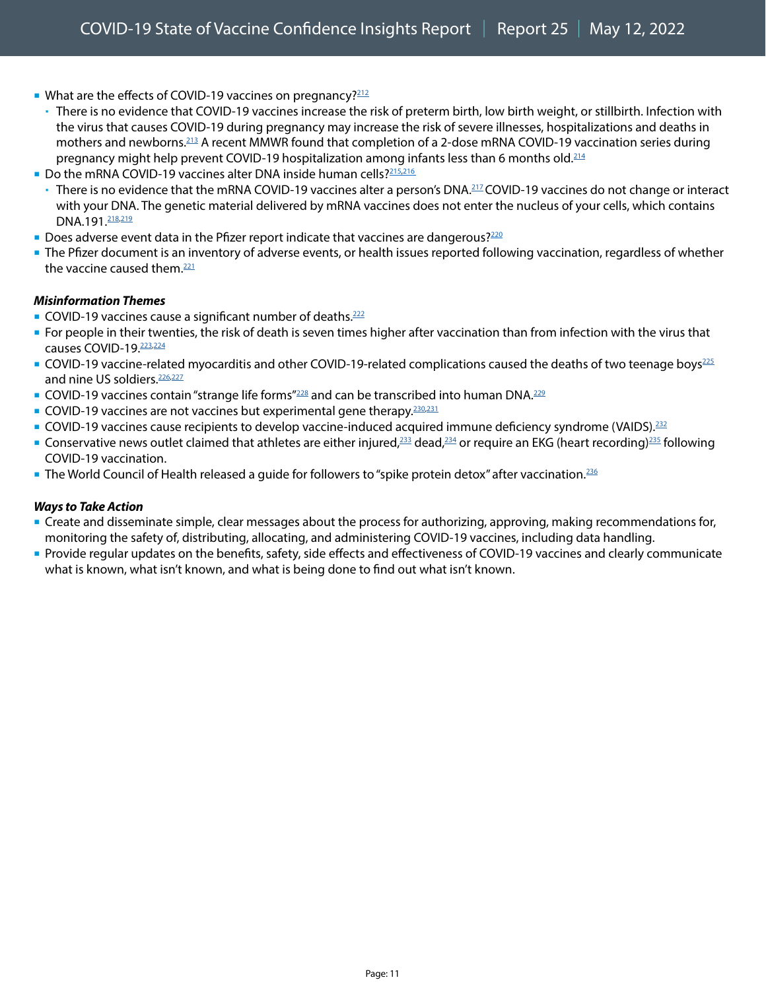- What are the effects of COVID-19 vaccines on pregnancy?<sup>212</sup>
	- There is no evidence that COVID-19 vaccines increase the risk of preterm birth, low birth weight, or stillbirth. Infection with the virus that causes COVID-19 during pregnancy may increase the risk of severe illnesses, hospitalizations and deaths in mothers and newborns.<sup>213</sup> A recent MMWR found that completion of a 2-dose mRNA COVID-19 vaccination series during pregnancy might help prevent COVID-19 hospitalization among infants less than 6 months old.<sup>[214](https://www.cdc.gov/mmwr/volumes/71/wr/pdfs/mm7107e3-H.pdf)</sup>
- Do the mRNA COVID-19 vaccines alter DNA inside human cells?<sup>215[,216](https://www.reuters.com/article/factcheck-coronavirus-vaccines/fact-check-controversial-mit-study-does-not-show-that-mrna-vaccines-alter-dna-idUSL1N2PK1DC)</sup>
- There is no evidence that the mRNA COVID-19 vaccines alter a person's DNA.<sup>217</sup> COVID-19 vaccines do not change or interact with your DNA. The genetic material delivered by mRNA vaccines does not enter the nucleus of your cells, which contains DNA.191.<sup>[218](https://www.frontiersin.org/articles/10.3389/fimmu.2019.00594/full),[219](https://aacrjournals.org/cancerres/article/55/7/1397/502087/Characterization-of-a-Messenger-RNA-Polynucleotide?msclkid=1ea30204cd6911ec894a7974061d36b0)</sup>
- **Does adverse event data in the Pfizer report indicate that vaccines are dangerous?**<sup>[220](https://twitter.com/CraigKellyMP/status/1502763405622403072)</sup>
- **The Pfizer document is an inventory of adverse events, or health issues reported following vaccination, regardless of whether** the vaccine caused them. $221$

#### *Misinformation Themes*

- COVID-19 vaccines cause a significant number of deaths.<sup>222</sup>
- **For people in their twenties, the risk of death is seven times higher after vaccination than from infection with the virus that** causes COVID-19.<sup>223,[224](https://www.usatoday.com/story/news/factcheck/2021/12/21/fact-check-covid-19-vaccines-safe-people-their-20-s/8940671002/)</sup>
- COVID-19 vaccine-related myocarditis and other COVID-19-related complications caused the deaths of two teenage boys<sup>[225](https://sciencebasedmedicine.org/that-latest-article-on-the-post-vaccine-myocarditis-autopsy-analysis/)</sup> and nine US soldiers.<sup>[226](https://twitter.com/VacSafety/status/1501996339571265555)[,227](https://twitter.com/sethharpesq/status/1501607223902060549)</sup>
- COVID-19 vaccines contain "strange life forms"<sup>228</sup> and can be transcribed into human DNA.<sup>[229](https://www.facebook.com/cdc/posts/327890212705757?comment_id=328678372626941&__tn__=R)</sup>
- COVID-19 vaccines are not vaccines but experimental gene therapy.  $230,231$  $230,231$
- COVID-19 vaccines cause recipients to develop vaccine-induced acquired immune deficiency syndrome (VAIDS).<sup>232</sup>
- Gonservative news outlet claimed that athletes are either injured, $233$  dead, $234$  or require an EKG (heart recording) $235$  following COVID-19 vaccination.
- **The World Council of Health released a guide for followers to "spike protein detox" after vaccination.**<sup>[236](https://www.vice.com/en/article/n7nqm7/mysterious-medical-organizations-are-calling-for-an-end-to-covid-vaccines)</sup>

#### *Ways to Take Action*

- **Create and disseminate simple, clear messages about the process for authorizing, approving, making recommendations for,** monitoring the safety of, distributing, allocating, and administering COVID-19 vaccines, including data handling.
- Provide regular updates on the benefits, safety, side effects and effectiveness of COVID-19 vaccines and clearly communicate what is known, what isn't known, and what is being done to find out what isn't known.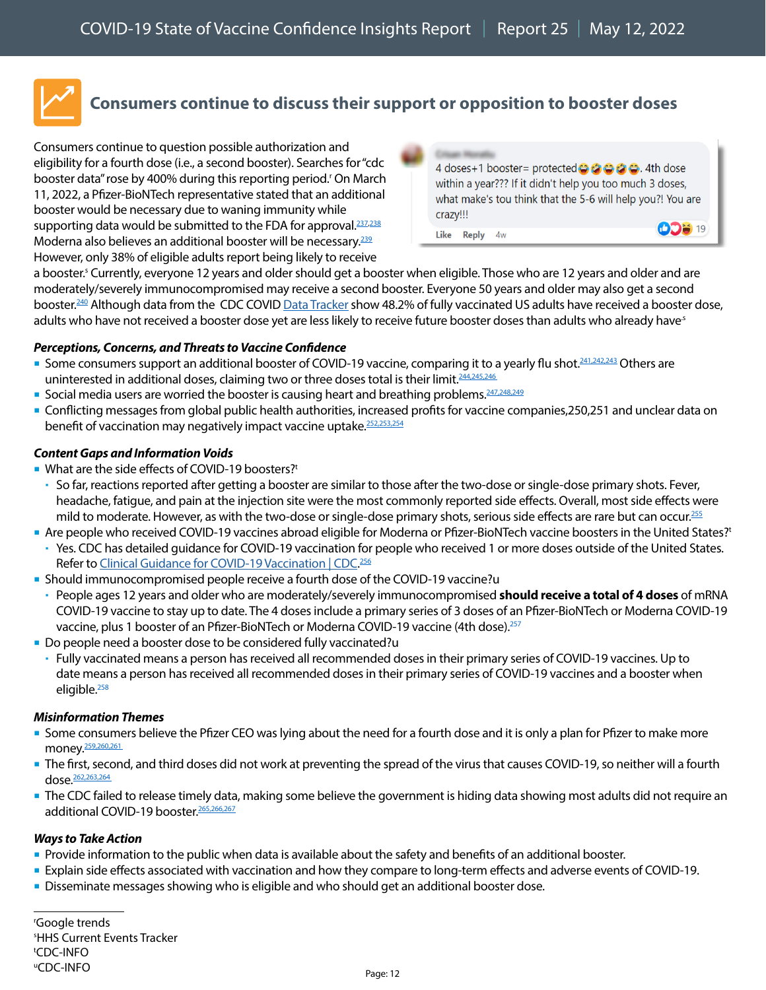<span id="page-11-0"></span>

Consumers continue to question possible authorization and eligibility for a fourth dose (i.e., a second booster). Searches for "cdc booster data" rose by 400% during this reporting period.<sup>r</sup> On March 11, 2022, a Pfizer-BioNTech representative stated that an additional booster would be necessary due to waning immunity while supporting data would be submitted to the FDA for approval.<sup>237[,238](https://thehill.com/policy/healthcare/598026-pfizer-ceo-says-a-fourth-booster-shot-is-necessary)</sup> Moderna also believes an additional booster will be necessary.<sup>239</sup> However, only 38% of eligible adults report being likely to receive



a booster.<sup>s</sup> Currently, everyone 12 years and older should get a booster when eligible. Those who are 12 years and older and are moderately/severely immunocompromised may receive a second booster. Everyone 50 years and older may also get a second booster.<sup>240</sup> Although data from the CDC COVID Data Tracker show 48.2% of fully vaccinated US adults have received a booster dose, adults who have not received a booster dose yet are less likely to receive future booster doses than adults who already haves

#### *Perceptions, Concerns, and Threats to Vaccine Confidence*

- Some consumers support an additional booster of COVID-19 vaccine, comparing it to a yearly flu shot.<sup>[241,](https://twitter.com/100Zeus/status/1503076466510102528)[242](https://twitter.com/LardFDorkness2/status/1503413010689187840)[,243](https://twitter.com/billiereuben21/status/1503440773940924422)</sup> Others are uninterested in additional doses, claiming two or three doses total is their limit.<sup>[244](https://twitter.com/gclt5/status/1503067468725641220)[,245](https://twitter.com/newsviewsbrews/status/1503411340697903115)[,246](https://twitter.com/TKiko/status/1503409089765945348)</sup>
- Social media users are worried the booster is causing heart and breathing problems.  $247,248,249$  $247,248,249$  $247,248,249$  $247,248,249$
- Conflicting messages from global public health authorities, increased profits for vaccine companies[,250,](https://www.cnbc.com/2022/03/03/covid-pfizer-moderna-project-51-billion-in-combined-vaccine-sales-this-year.html)[251](https://www.wsj.com/articles/pfizer-moderna-and-other-drugmakers-make-billions-meeting-covid-19-needs-11645811779) and unclear data on benefit of vaccination may negatively impact vaccine uptake.<sup>252[,253](https://twitter.com/SarahKr72870205/status/1498817333711802371),254</sup>

#### *Content Gaps and Information Voids*

- What are the side effects of COVID-19 boosters?<sup>t</sup>
- So far, reactions reported after getting a booster are similar to those after the two-dose or single-dose primary shots. Fever, headache, fatigue, and pain at the injection site were the most commonly reported side effects. Overall, most side effects were mild to moderate. However, as with the two-dose or single-dose primary shots, serious side effects are rare but can occur.<sup>[255](https://www.cdc.gov/coronavirus/2019-ncov/vaccines/expect/after.html)</sup>
- Are people who received COVID-19 vaccines abroad eligible for Moderna or Pfizer-BioNTech vaccine boosters in the United States?t
- Yes. CDC has detailed guidance for COVID-19 vaccination for people who received 1 or more doses outside of the United States. Refer to Clinical Guidance for COVID-19 Vaccination | CDC.<sup>[256](https://www.cdc.gov/coronavirus/2019-ncov/vaccines/recommendations/immuno.html)</sup>
- Should immunocompromised people receive a fourth dose of the COVID-19 vaccine?u
- People ages 12 years and older who are moderately/severely immunocompromised **should receive a total of 4 doses** of mRNA COVID-19 vaccine to stay up to date. The 4 doses include a primary series of 3 doses of an Pfizer-BioNTech or Moderna COVID-19 vaccine, plus 1 booster of an Pfizer-BioNTech or Moderna COVID-19 vaccine (4th dose).<sup>257</sup>
- Do people need a booster dose to be considered fully vaccinated?u

 Fully vaccinated means a person has received all recommended doses in their primary series of COVID-19 vaccines. Up to date means a person has received all recommended doses in their primary series of COVID-19 vaccines and a booster when eligible.<sup>[258](https://www.cdc.gov/coronavirus/2019-ncov/vaccines/stay-up-to-date.html?s_cid=11747:cdc%20fully%20vaccinated%20definition:sem.ga:p:RG:GM:gen:PTN:FY22)</sup>

#### *Misinformation Themes*

- Some consumers believe the Pfizer CEO was lying about the need for a fourth dose and it is only a plan for Pfizer to make more money.<sup>259,[260,](https://twitter.com/JCoulterB/status/1498764644038545410)[261](https://www.facebook.com/cdc/posts/328860049275440?comment_id=681108126658450)</sup>
- The first, second, and third doses did not work at preventing the spread of the virus that causes COVID-19, so neither will a fourth dose[.262,](https://www.facebook.com/cdc/posts/328860049275440?comment_id=328862992608479&__cft__%5b0%5d=AZVZpxntP2kdJxDMZN7uu-rZN0YgZ-srgH7jaeIBneYaVcH7CAgz4ZErnwjC7BN1-cI1It19_x13ZYbvgDSohr6I767f6FIEbUkpANDXJTeq7Qvzgf865mO6wo0kaOJ5n5jzD9r9k7EibPn3EPss1GO5&__tn__=R%5d-R)[263,](https://www.facebook.com/cdc/posts/328860049275440?comment_id=2994617747464683&__cft__%5b0%5d=AZVZpxntP2kdJxDMZN7uu-rZN0YgZ-srgH7jaeIBneYaVcH7CAgz4ZErnwjC7BN1-cI1It19_x13ZYbvgDSohr6I767f6FIEbUkpANDXJTeq7Qvzgf865mO6wo0kaOJ5n5jzD9r9k7EibPn3EPss1GO5&__tn__=R%5d-R)[264](https://www.facebook.com/cdc/posts/328860049275440?comment_id=938954103442128&__cft__%5b0%5d=AZVZpxntP2kdJxDMZN7uu-rZN0YgZ-srgH7jaeIBneYaVcH7CAgz4ZErnwjC7BN1-cI1It19_x13ZYbvgDSohr6I767f6FIEbUkpANDXJTeq7Qvzgf865mO6wo0kaOJ5n5jzD9r9k7EibPn3EPss1GO5&__tn__=R%5d-R)
- The CDC failed to release timely data, making some believe the government is hiding data showing most adults did not require an additional COVID-19 booster.<sup>265,[266](https://www.instagram.com/p/CaVTt6jlyYY/c/17923559864313033/)[,267](https://www.facebook.com/cdc/posts/328860049275440?comment_id=505117204402169)</sup>

#### *Ways to Take Action*

- **Provide information to the public when data is available about the safety and benefits of an additional booster.**
- Explain side effects associated with vaccination and how they compare to long-term effects and adverse events of COVID-19.
- **Disseminate messages showing who is eligible and who should get an additional booster dose.**

r Google trends s HHS Current Events Tracker t CDC-INFO u CDC-INFO